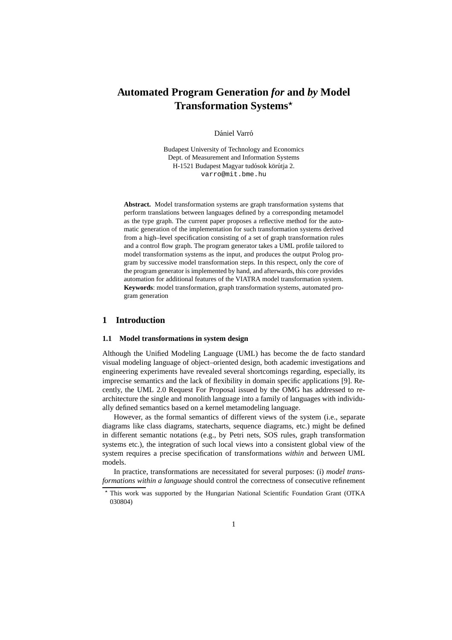# **Automated Program Generation** *for* **and** *by* **Model Transformation Systems**

Dániel Varró

Budapest University of Technology and Economics Dept. of Measurement and Information Systems H-1521 Budapest Magyar tudósok körútja 2. varro@mit.bme.hu

**Abstract.** Model transformation systems are graph transformation systems that perform translations between languages defined by a corresponding metamodel as the type graph. The current paper proposes a reflective method for the automatic generation of the implementation for such transformation systems derived from a high–level specification consisting of a set of graph transformation rules and a control flow graph. The program generator takes a UML profile tailored to model transformation systems as the input, and produces the output Prolog program by successive model transformation steps. In this respect, only the core of the program generator is implemented by hand, and afterwards, this core provides automation for additional features of the VIATRA model transformation system. **Keywords**: model transformation, graph transformation systems, automated program generation

# **1 Introduction**

## **1.1 Model transformations in system design**

Although the Unified Modeling Language (UML) has become the de facto standard visual modeling language of object–oriented design, both academic investigations and engineering experiments have revealed several shortcomings regarding, especially, its imprecise semantics and the lack of flexibility in domain specific applications [9]. Recently, the UML 2.0 Request For Proposal issued by the OMG has addressed to rearchitecture the single and monolith language into a family of languages with individually defined semantics based on a kernel metamodeling language.

However, as the formal semantics of different views of the system (i.e., separate diagrams like class diagrams, statecharts, sequence diagrams, etc.) might be defined in different semantic notations (e.g., by Petri nets, SOS rules, graph transformation systems etc.), the integration of such local views into a consistent global view of the system requires a precise specification of transformations *within* and *between* UML models.

In practice, transformations are necessitated for several purposes: (i) *model transformations within a language* should control the correctness of consecutive refinement

This work was supported by the Hungarian National Scientific Foundation Grant (OTKA 030804)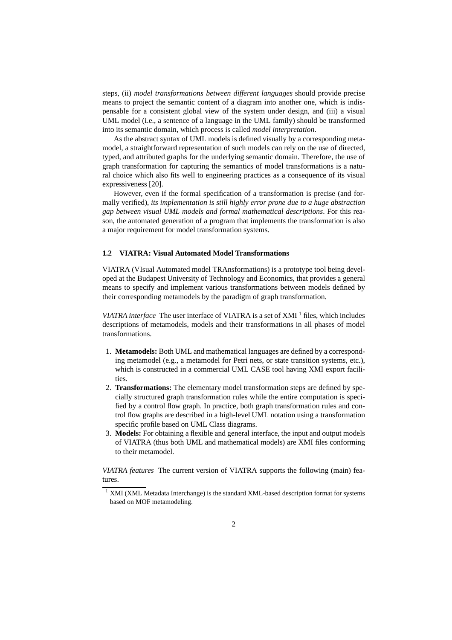steps, (ii) *model transformations between different languages* should provide precise means to project the semantic content of a diagram into another one, which is indispensable for a consistent global view of the system under design, and (iii) a visual UML model (i.e., a sentence of a language in the UML family) should be transformed into its semantic domain, which process is called *model interpretation*.

As the abstract syntax of UML models is defined visually by a corresponding metamodel, a straightforward representation of such models can rely on the use of directed, typed, and attributed graphs for the underlying semantic domain. Therefore, the use of graph transformation for capturing the semantics of model transformations is a natural choice which also fits well to engineering practices as a consequence of its visual expressiveness [20].

However, even if the formal specification of a transformation is precise (and formally verified), *its implementation is still highly error prone due to a huge abstraction gap between visual UML models and formal mathematical descriptions*. For this reason, the automated generation of a program that implements the transformation is also a major requirement for model transformation systems.

### **1.2 VIATRA: Visual Automated Model Transformations**

VIATRA (VIsual Automated model TRAnsformations) is a prototype tool being developed at the Budapest University of Technology and Economics, that provides a general means to specify and implement various transformations between models defined by their corresponding metamodels by the paradigm of graph transformation.

*VIATRA interface* The user interface of VIATRA is a set of XMI <sup>1</sup> files, which includes descriptions of metamodels, models and their transformations in all phases of model transformations.

- 1. **Metamodels:** Both UML and mathematical languages are defined by a corresponding metamodel (e.g., a metamodel for Petri nets, or state transition systems, etc.), which is constructed in a commercial UML CASE tool having XMI export facilities.
- 2. **Transformations:** The elementary model transformation steps are defined by specially structured graph transformation rules while the entire computation is specified by a control flow graph. In practice, both graph transformation rules and control flow graphs are described in a high-level UML notation using a transformation specific profile based on UML Class diagrams.
- 3. **Models:** For obtaining a flexible and general interface, the input and output models of VIATRA (thus both UML and mathematical models) are XMI files conforming to their metamodel.

*VIATRA features* The current version of VIATRA supports the following (main) features.

 $1$  XMI (XML Metadata Interchange) is the standard XML-based description format for systems based on MOF metamodeling.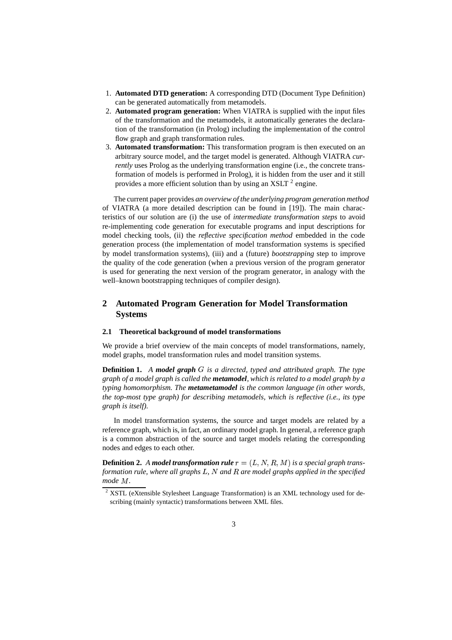- 1. **Automated DTD generation:** A corresponding DTD (Document Type Definition) can be generated automatically from metamodels.
- 2. **Automated program generation:** When VIATRA is supplied with the input files of the transformation and the metamodels, it automatically generates the declaration of the transformation (in Prolog) including the implementation of the control flow graph and graph transformation rules.
- 3. **Automated transformation:** This transformation program is then executed on an arbitrary source model, and the target model is generated. Although VIATRA *currently* uses Prolog as the underlying transformation engine (i.e., the concrete transformation of models is performed in Prolog), it is hidden from the user and it still provides a more efficient solution than by using an XSLT  $^2$  engine.

The current paper provides *an overview of the underlying program generation method* of VIATRA (a more detailed description can be found in [19]). The main characteristics of our solution are (i) the use of *intermediate transformation steps* to avoid re-implementing code generation for executable programs and input descriptions for model checking tools, (ii) the *reflective specification method* embedded in the code generation process (the implementation of model transformation systems is specified by model transformation systems), (iii) and a (future) *bootstrapping* step to improve the quality of the code generation (when a previous version of the program generator is used for generating the next version of the program generator, in analogy with the well–known bootstrapping techniques of compiler design).

# **2 Automated Program Generation for Model Transformation Systems**

#### **2.1 Theoretical background of model transformations**

We provide a brief overview of the main concepts of model transformations, namely, model graphs, model transformation rules and model transition systems.

**Definition 1.** A model graph G is a directed, typed and attributed graph. The type *graph of a model graph is called the metamodel, which is related to a model graph by a typing homomorphism. The metametamodel is the common language (in other words, the top-most type graph) for describing metamodels, which is reflective (i.e., its type graph is itself).*

In model transformation systems, the source and target models are related by a reference graph, which is, in fact, an ordinary model graph. In general, a reference graph is a common abstraction of the source and target models relating the corresponding nodes and edges to each other.

**Definition 2.** A model transformation rule  $r = (L, N, R, M)$  is a special graph trans*formation rule, where all graphs L, N and R are model graphs applied in the specified*  $mode$   $M$ .

 $2$  XSTL (eXtensible Stylesheet Language Transformation) is an XML technology used for describing (mainly syntactic) transformations between XML files.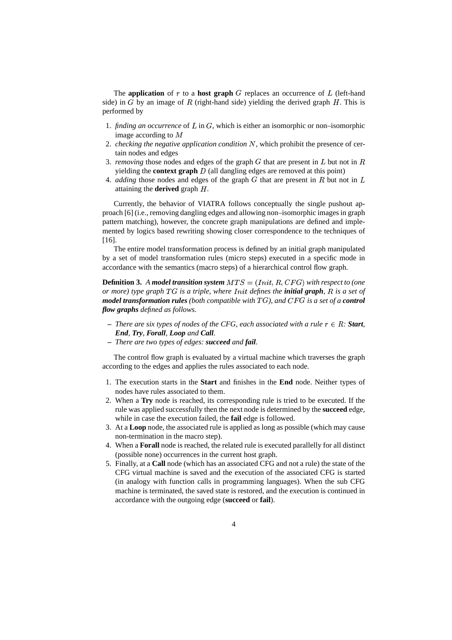The **application** of  $r$  to a **host graph**  $G$  replaces an occurrence of  $L$  (left-hand side) in  $G$  by an image of  $R$  (right-hand side) yielding the derived graph  $H$ . This is performed by

- 1. *finding an occurrence* of  $L$  in  $G$ , which is either an isomorphic or non-isomorphic image according to  $M$
- 2. *checking the negative application condition* N, which prohibit the presence of certain nodes and edges
- 3. *removing* those nodes and edges of the graph  $G$  that are present in  $L$  but not in  $R$ yielding the **context graph**  $D$  (all dangling edges are removed at this point)
- 4. *adding* those nodes and edges of the graph  $G$  that are present in  $R$  but not in  $L$ attaining the **derived** graph  $H$ .

Currently, the behavior of VIATRA follows conceptually the single pushout approach [6] (i.e., removing dangling edges and allowing non–isomorphic imagesin graph pattern matching), however, the concrete graph manipulations are defined and implemented by logics based rewriting showing closer correspondence to the techniques of [16].

The entire model transformation process is defined by an initial graph manipulated by a set of model transformation rules (micro steps) executed in a specific mode in accordance with the semantics (macro steps) of a hierarchical control flow graph.

**Definition 3.** A model transition system  $MTS = (Init, R, CFG)$  with respect to (one *or* more) type graph TG is a triple, where Init defines the **initial graph**, R is a set of  $\boldsymbol{m}$  *odel transformation rules* (both compatible with  $TG$ ), and  $CFG$  is a set of a **control** *flow graphs defined as follows.*

- $-$  *There are six types of nodes of the CFG, each associated with a rule*  $r \in R$ *: Start*, *End, Try, Forall, Loop and Call.*
- **–** *There are two types of edges: succeed and fail.*

The control flow graph is evaluated by a virtual machine which traverses the graph according to the edges and applies the rules associated to each node.

- 1. The execution starts in the **Start** and finishes in the **End** node. Neither types of nodes have rules associated to them.
- 2. When a **Try** node is reached, its corresponding rule is tried to be executed. If the rule was applied successfully then the next node is determined by the **succeed** edge, while in case the execution failed, the **fail** edge is followed.
- 3. At a **Loop** node, the associated rule is applied as long as possible (which may cause non-termination in the macro step).
- 4. When a **Forall** node is reached, the related rule is executed parallelly for all distinct (possible none) occurrences in the current host graph.
- 5. Finally, at a **Call** node (which has an associated CFG and not a rule) the state of the CFG virtual machine is saved and the execution of the associated CFG is started (in analogy with function calls in programming languages). When the sub CFG machine is terminated, the saved state is restored, and the execution is continued in accordance with the outgoing edge (**succeed** or **fail**).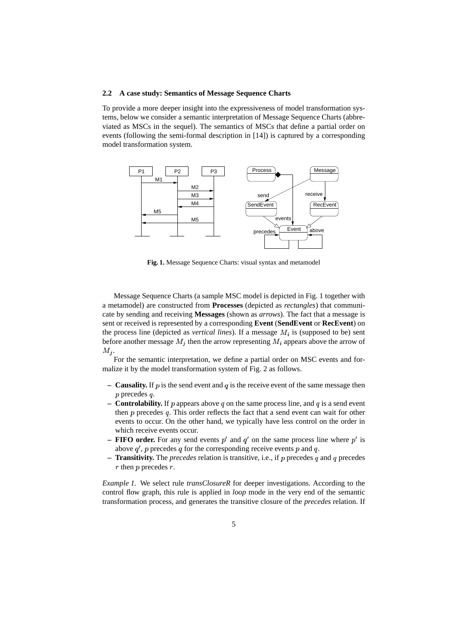#### **2.2 A case study: Semantics of Message Sequence Charts**

To provide a more deeper insight into the expressiveness of model transformation systems, below we consider a semantic interpretation of Message Sequence Charts (abbreviated as MSCs in the sequel). The semantics of MSCs that define a partial order on events (following the semi-formal description in [14]) is captured by a corresponding model transformation system.



**Fig. 1.** Message Sequence Charts: visual syntax and metamodel

Message Sequence Charts (a sample MSC model is depicted in Fig. 1 together with a metamodel) are constructed from **Processes** (depicted as *rectangles*) that communicate by sending and receiving **Messages** (shown as *arrows*). The fact that a message is sent or received is represented by a corresponding **Event** (**SendEvent** or **RecEvent**) on the process line (depicted as *vertical lines*). If a message  $M_i$  is (supposed to be) sent before another message  $M_j$  then the arrow representing  $M_i$  appears above the arrow of  $M_j$ .

For the semantic interpretation, we define a partial order on MSC events and formalize it by the model transformation system of Fig. 2 as follows.

- **Causality.** If  $p$  is the send event and  $q$  is the receive event of the same message then  $p$  precedes  $q$ .
- **Controlability.** If p appears above q on the same process line, and q is a send event then  $p$  precedes  $q$ . This order reflects the fact that a send event can wait for other events to occur. On the other hand, we typically have less control on the order in which receive events occur.
- **– FIFO** order. For any send events  $p'$  and  $q'$  on the same process line where  $p'$  is above  $q'$ , p precedes q for the corresponding receive events p and q.
- **Transitivity.** The *precedes* relation is transitive, i.e., if p precedes q and q precedes  $r$  then  $p$  precedes  $r$ .

*Example 1.* We select rule *transClosureR* for deeper investigations. According to the control flow graph, this rule is applied in *loop* mode in the very end of the semantic transformation process, and generates the transitive closure of the *precedes* relation. If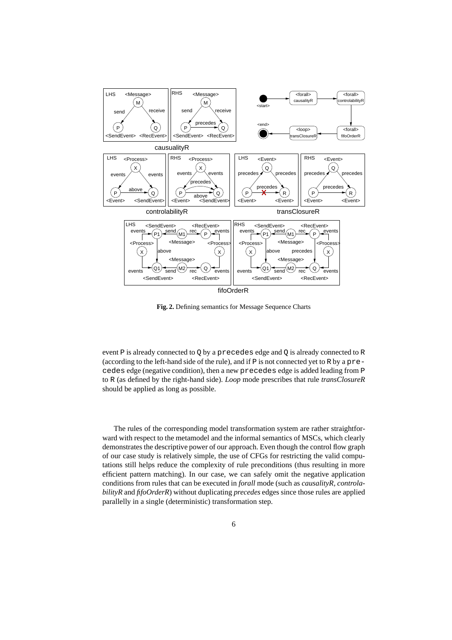

**Fig. 2.** Defining semantics for Message Sequence Charts

event P is already connected to Q by a precedes edge and Q is already connected to R (according to the left-hand side of the rule), and if P is not connected yet to R by a precedes edge (negative condition), then a new precedes edge is added leading from P to R (as defined by the right-hand side). *Loop* mode prescribes that rule *transClosureR* should be applied as long as possible.

The rules of the corresponding model transformation system are rather straightforward with respect to the metamodel and the informal semantics of MSCs, which clearly demonstrates the descriptive power of our approach. Even though the control flow graph of our case study is relatively simple, the use of CFGs for restricting the valid computations still helps reduce the complexity of rule preconditions (thus resulting in more efficient pattern matching). In our case, we can safely omit the negative application conditions from rules that can be executed in *forall* mode (such as *causalityR, controlabilityR* and *fifoOrderR*) without duplicating *precedes* edges since those rules are applied parallelly in a single (deterministic) transformation step.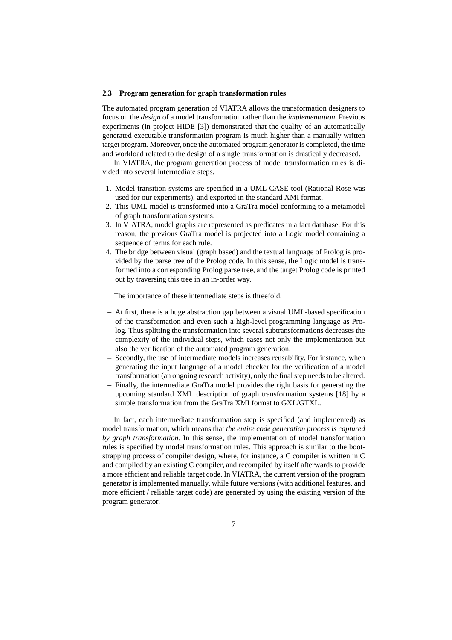#### **2.3 Program generation for graph transformation rules**

The automated program generation of VIATRA allows the transformation designers to focus on the *design* of a model transformation rather than the *implementation*. Previous experiments (in project HIDE [3]) demonstrated that the quality of an automatically generated executable transformation program is much higher than a manually written target program. Moreover, once the automated program generator is completed, the time and workload related to the design of a single transformation is drastically decreased.

In VIATRA, the program generation process of model transformation rules is divided into several intermediate steps.

- 1. Model transition systems are specified in a UML CASE tool (Rational Rose was used for our experiments), and exported in the standard XMI format.
- 2. This UML model is transformed into a GraTra model conforming to a metamodel of graph transformation systems.
- 3. In VIATRA, model graphs are represented as predicates in a fact database. For this reason, the previous GraTra model is projected into a Logic model containing a sequence of terms for each rule.
- 4. The bridge between visual (graph based) and the textual language of Prolog is provided by the parse tree of the Prolog code. In this sense, the Logic model is transformed into a corresponding Prolog parse tree, and the target Prolog code is printed out by traversing this tree in an in-order way.

The importance of these intermediate steps is threefold.

- **–** At first, there is a huge abstraction gap between a visual UML-based specification of the transformation and even such a high-level programming language as Prolog. Thus splitting the transformation into several subtransformations decreases the complexity of the individual steps, which eases not only the implementation but also the verification of the automated program generation.
- **–** Secondly, the use of intermediate models increases reusability. For instance, when generating the input language of a model checker for the verification of a model transformation (an ongoing research activity), only the final step needs to be altered.
- **–** Finally, the intermediate GraTra model provides the right basis for generating the upcoming standard XML description of graph transformation systems [18] by a simple transformation from the GraTra XMI format to GXL/GTXL.

In fact, each intermediate transformation step is specified (and implemented) as model transformation, which means that *the entire code generation process is captured by graph transformation*. In this sense, the implementation of model transformation rules is specified by model transformation rules. This approach is similar to the bootstrapping process of compiler design, where, for instance, a C compiler is written in C and compiled by an existing C compiler, and recompiled by itself afterwards to provide a more efficient and reliable target code. In VIATRA, the current version of the program generator is implemented manually, while future versions (with additional features, and more efficient / reliable target code) are generated by using the existing version of the program generator.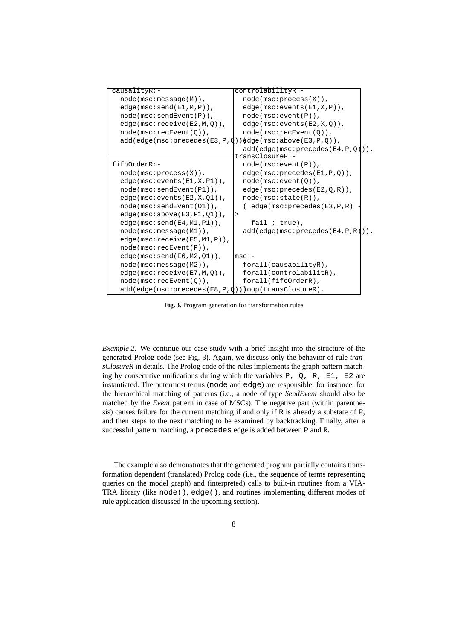| causalityR:-                                                 | controlabilityR:-                     |  |
|--------------------------------------------------------------|---------------------------------------|--|
| $node(max:message(M))$ ,                                     | $node(max:process(X))$ ,              |  |
| $edge(msc:send(E1,M,P))$ ,                                   | $edge(msc:events(E1,X,P))$ ,          |  |
| $node(msc:sendEvent(P))$ ,                                   | $node(msc:event(P))$ ,                |  |
| $edge(msc:receive( E2, M, Q))$ ,                             | $edge(msc:events(E2,X,Q))$ ,          |  |
| $node(msc:recEvent(Q))$ ,                                    | $node(msc:recEvent(0))$ ,             |  |
| $add(edge(msc:precedes(E3,P,Q))$ $èdge(msc:above(E3,P,Q))$ , |                                       |  |
|                                                              | $add(edge(msc:precedes(E4,P,Q)))$ .   |  |
|                                                              | transClosureR:-                       |  |
| fif                                                          | $node(msc:event(P))$ ,                |  |
| $node(msc:process(X))$ ,                                     | $edge(msc:precedes(E1,P,Q))$ ,        |  |
| $edge(msc:events(E1,X, P1))$ ,                               | $node(msc:event(Q))$ ,                |  |
| $node(msc:sendEvent(P1))$ ,                                  | $edge(msc:precedes(E2,Q,R))$ ,        |  |
| $edge(msc:events(E2,X,Q1))$ ,                                | $node(msc:state(R))$ ,                |  |
| $node(msc:sendEvent(01))$ ,                                  | $($ edge(msc:precedes(E3, P, R)       |  |
| $edge(msc:above(E3, P1, Q1))$ ,                              | >                                     |  |
| $edge(msc:send(E4, M1, P1))$ ,                               | fail $i$ true),                       |  |
| $node(msc:message(M1))$ ,                                    | $add(edge(msc:precedes(E4, P, R)))$ . |  |
| $edge(msc\text{:receive}(E5, M1, P))$ ,                      |                                       |  |
| $node(msc:recEvent(P))$ ,                                    |                                       |  |
| $edge(msc:send(EG, M2, Q1))$ ,                               | $msc:-$                               |  |
| $node(max:message(M2))$ ,                                    | $for all (causabilityR)$ ,            |  |
| $edge(msc:receive(E7, M, Q))$ ,                              | forall(controlabilitR),               |  |
| $node(msc:recEvent(0))$ ,                                    | forall(fifoOrderR),                   |  |
| $add(edge(msc:precedes(EB,P,Q))$ ]oop(transClosureR).        |                                       |  |

**Fig. 3.** Program generation for transformation rules

*Example 2.* We continue our case study with a brief insight into the structure of the generated Prolog code (see Fig. 3). Again, we discuss only the behavior of rule *transClosureR* in details. The Prolog code of the rules implements the graph pattern matching by consecutive unifications during which the variables  $P$ ,  $Q$ ,  $R$ ,  $E1$ ,  $E2$  are instantiated. The outermost terms (node and edge) are responsible, for instance, for the hierarchical matching of patterns (i.e., a node of type *SendEvent* should also be matched by the *Event* pattern in case of MSCs). The negative part (within parenthesis) causes failure for the current matching if and only if R is already a substate of P, and then steps to the next matching to be examined by backtracking. Finally, after a successful pattern matching, a precedes edge is added between P and R.

The example also demonstrates that the generated program partially contains transformation dependent (translated) Prolog code (i.e., the sequence of terms representing queries on the model graph) and (interpreted) calls to built-in routines from a VIA-TRA library (like node(), edge(), and routines implementing different modes of rule application discussed in the upcoming section).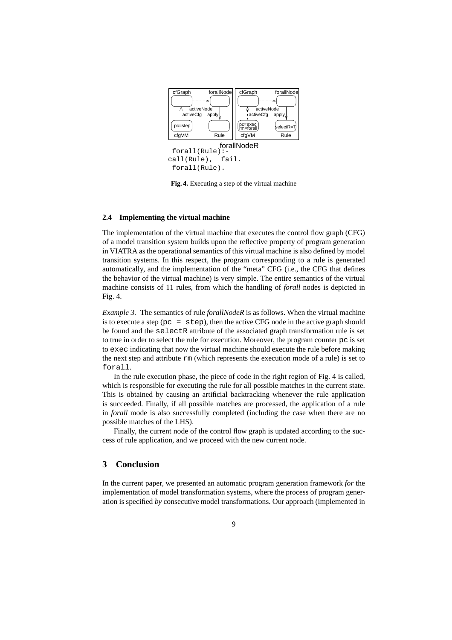

**Fig. 4.** Executing a step of the virtual machine

### **2.4 Implementing the virtual machine**

The implementation of the virtual machine that executes the control flow graph (CFG) of a model transition system builds upon the reflective property of program generation in VIATRA asthe operational semantics of this virtual machine is also defined by model transition systems. In this respect, the program corresponding to a rule is generated automatically, and the implementation of the "meta" CFG (i.e., the CFG that defines the behavior of the virtual machine) is very simple. The entire semantics of the virtual machine consists of 11 rules, from which the handling of *forall* nodes is depicted in Fig. 4.

*Example 3.* The semantics of rule *forallNodeR* is as follows. When the virtual machine is to execute a step ( $pc = step$ ), then the active CFG node in the active graph should be found and the selectR attribute of the associated graph transformation rule is set to true in order to select the rule for execution. Moreover, the program counter pc is set to exec indicating that now the virtual machine should execute the rule before making the next step and attribute rm (which represents the execution mode of a rule) is set to forall.

In the rule execution phase, the piece of code in the right region of Fig. 4 is called, which is responsible for executing the rule for all possible matches in the current state. This is obtained by causing an artificial backtracking whenever the rule application is succeeded. Finally, if all possible matches are processed, the application of a rule in *forall* mode is also successfully completed (including the case when there are no possible matches of the LHS).

Finally, the current node of the control flow graph is updated according to the success of rule application, and we proceed with the new current node.

# **3 Conclusion**

In the current paper, we presented an automatic program generation framework *for* the implementation of model transformation systems, where the process of program generation is specified *by* consecutive model transformations. Our approach (implemented in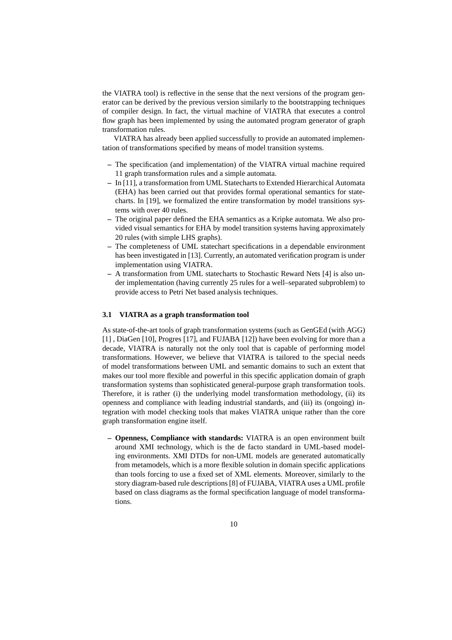the VIATRA tool) is reflective in the sense that the next versions of the program generator can be derived by the previous version similarly to the bootstrapping techniques of compiler design. In fact, the virtual machine of VIATRA that executes a control flow graph has been implemented by using the automated program generator of graph transformation rules.

VIATRA has already been applied successfully to provide an automated implementation of transformations specified by means of model transition systems.

- **–** The specification (and implementation) of the VIATRA virtual machine required 11 graph transformation rules and a simple automata.
- **–** In [11], a transformation from UML Statecharts to Extended Hierarchical Automata (EHA) has been carried out that provides formal operational semantics for statecharts. In [19], we formalized the entire transformation by model transitions systems with over 40 rules.
- **–** The original paper defined the EHA semantics as a Kripke automata. We also provided visual semantics for EHA by model transition systems having approximately 20 rules (with simple LHS graphs).
- **–** The completeness of UML statechart specifications in a dependable environment has been investigated in [13]. Currently, an automated verification program is under implementation using VIATRA.
- **–** A transformation from UML statecharts to Stochastic Reward Nets [4] is also under implementation (having currently 25 rules for a well–separated subproblem) to provide access to Petri Net based analysis techniques.

### **3.1 VIATRA as a graph transformation tool**

As state-of-the-art tools of graph transformation systems (such as GenGEd (with AGG) [1] , DiaGen [10], Progres [17], and FUJABA [12]) have been evolving for more than a decade, VIATRA is naturally not the only tool that is capable of performing model transformations. However, we believe that VIATRA is tailored to the special needs of model transformations between UML and semantic domains to such an extent that makes our tool more flexible and powerful in this specific application domain of graph transformation systems than sophisticated general-purpose graph transformation tools. Therefore, it is rather (i) the underlying model transformation methodology, (ii) its openness and compliance with leading industrial standards, and (iii) its (ongoing) integration with model checking tools that makes VIATRA unique rather than the core graph transformation engine itself.

**– Openness, Compliance with standards:** VIATRA is an open environment built around XMI technology, which is the de facto standard in UML-based modeling environments. XMI DTDs for non-UML models are generated automatically from metamodels, which is a more flexible solution in domain specific applications than tools forcing to use a fixed set of XML elements. Moreover, similarly to the story diagram-based rule descriptions[8] of FUJABA, VIATRA uses a UML profile based on class diagrams as the formal specification language of model transformations.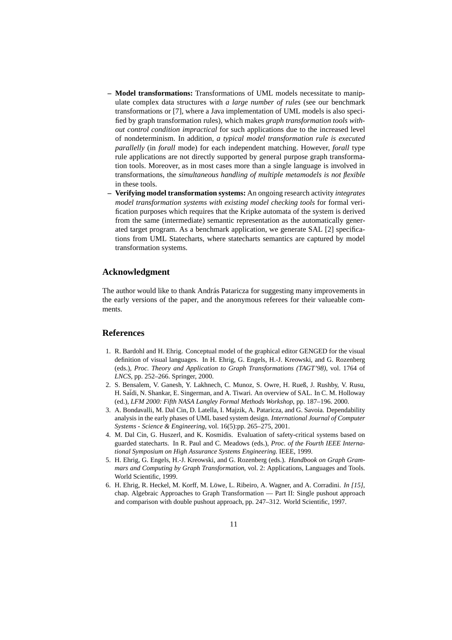- **– Model transformations:** Transformations of UML models necessitate to manipulate complex data structures with *a large number of rules* (see our benchmark transformations or [7], where a Java implementation of UML models is also specified by graph transformation rules), which makes *graph transformation tools without control condition impractical* for such applications due to the increased level of nondeterminism. In addition, *a typical model transformation rule is executed parallelly* (in *forall* mode) for each independent matching. However, *forall* type rule applications are not directly supported by general purpose graph transformation tools. Moreover, as in most cases more than a single language is involved in transformations, the *simultaneous handling of multiple metamodels is not flexible* in these tools.
- **– Verifying model transformation systems:** An ongoing research activity *integrates model transformation systems with existing model checking tools* for formal verification purposes which requires that the Kripke automata of the system is derived from the same (intermediate) semantic representation as the automatically generated target program. As a benchmark application, we generate SAL [2] specifications from UML Statecharts, where statecharts semantics are captured by model transformation systems.

# **Acknowledgment**

The author would like to thank András Pataricza for suggesting many improvements in the early versions of the paper, and the anonymous referees for their valueable comments.

# **References**

- 1. R. Bardohl and H. Ehrig. Conceptual model of the graphical editor GENGED for the visual definition of visual languages. In H. Ehrig, G. Engels, H.-J. Kreowski, and G. Rozenberg (eds.), *Proc. Theory and Application to Graph Transformations (TAGT'98)*, vol. 1764 of *LNCS*, pp. 252–266. Springer, 2000.
- 2. S. Bensalem, V. Ganesh, Y. Lakhnech, C. Munoz, S. Owre, H. Rueß, J. Rushby, V. Rusu, H. Sa¨idi, N. Shankar, E. Singerman, and A. Tiwari. An overview of SAL. In C. M. Holloway (ed.), *LFM 2000: Fifth NASA Langley Formal Methods Workshop*, pp. 187–196. 2000.
- 3. A. Bondavalli, M. Dal Cin, D. Latella, I. Majzik, A. Pataricza, and G. Savoia. Dependability analysis in the early phases of UML based system design. *International Journal of Computer Systems - Science & Engineering*, vol. 16(5):pp. 265–275, 2001.
- 4. M. Dal Cin, G. Huszerl, and K. Kosmidis. Evaluation of safety-critical systems based on guarded statecharts. In R. Paul and C. Meadows (eds.), *Proc. of the Fourth IEEE International Symposium on High Assurance Systems Engineering*. IEEE, 1999.
- 5. H. Ehrig, G. Engels, H.-J. Kreowski, and G. Rozenberg (eds.). *Handbook on Graph Grammars and Computing by Graph Transformation*, vol. 2: Applications, Languages and Tools. World Scientific, 1999.
- 6. H. Ehrig, R. Heckel, M. Korff, M. Löwe, L. Ribeiro, A. Wagner, and A. Corradini. *In* [15], chap. Algebraic Approaches to Graph Transformation — Part II: Single pushout approach and comparison with double pushout approach, pp. 247–312. World Scientific, 1997.